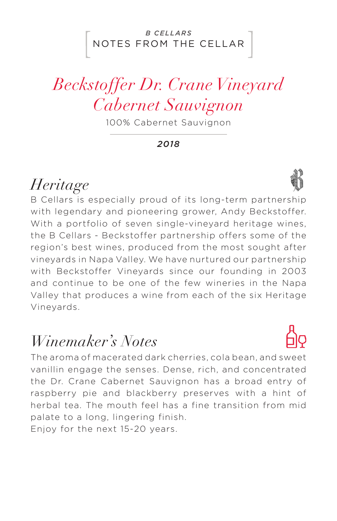#### NOTES FROM THE CELLAR *B CELLARS*

# *Beckstoffer Dr. Crane Vineyard Cabernet Sauvignon*

100% Cabernet Sauvignon

*2018*

## *Heritage*

B Cellars is especially proud of its long-term partnership with legendary and pioneering grower, Andy Beckstoffer. With a portfolio of seven single-vineyard heritage wines. the B Cellars - Beckstoffer partnership offers some of the region's best wines, produced from the most sought after vineyards in Napa Valley. We have nurtured our partnership with Beckstoffer Vineyards since our founding in 2003 and continue to be one of the few wineries in the Napa Valley that produces a wine from each of the six Heritage Vineyards.

### *Winemaker's Notes*

The aroma of macerated dark cherries, cola bean, and sweet vanillin engage the senses. Dense, rich, and concentrated the Dr. Crane Cabernet Sauvignon has a broad entry of raspberry pie and blackberry preserves with a hint of herbal tea. The mouth feel has a fine transition from mid palate to a long, lingering finish. Enjoy for the next 15-20 years.